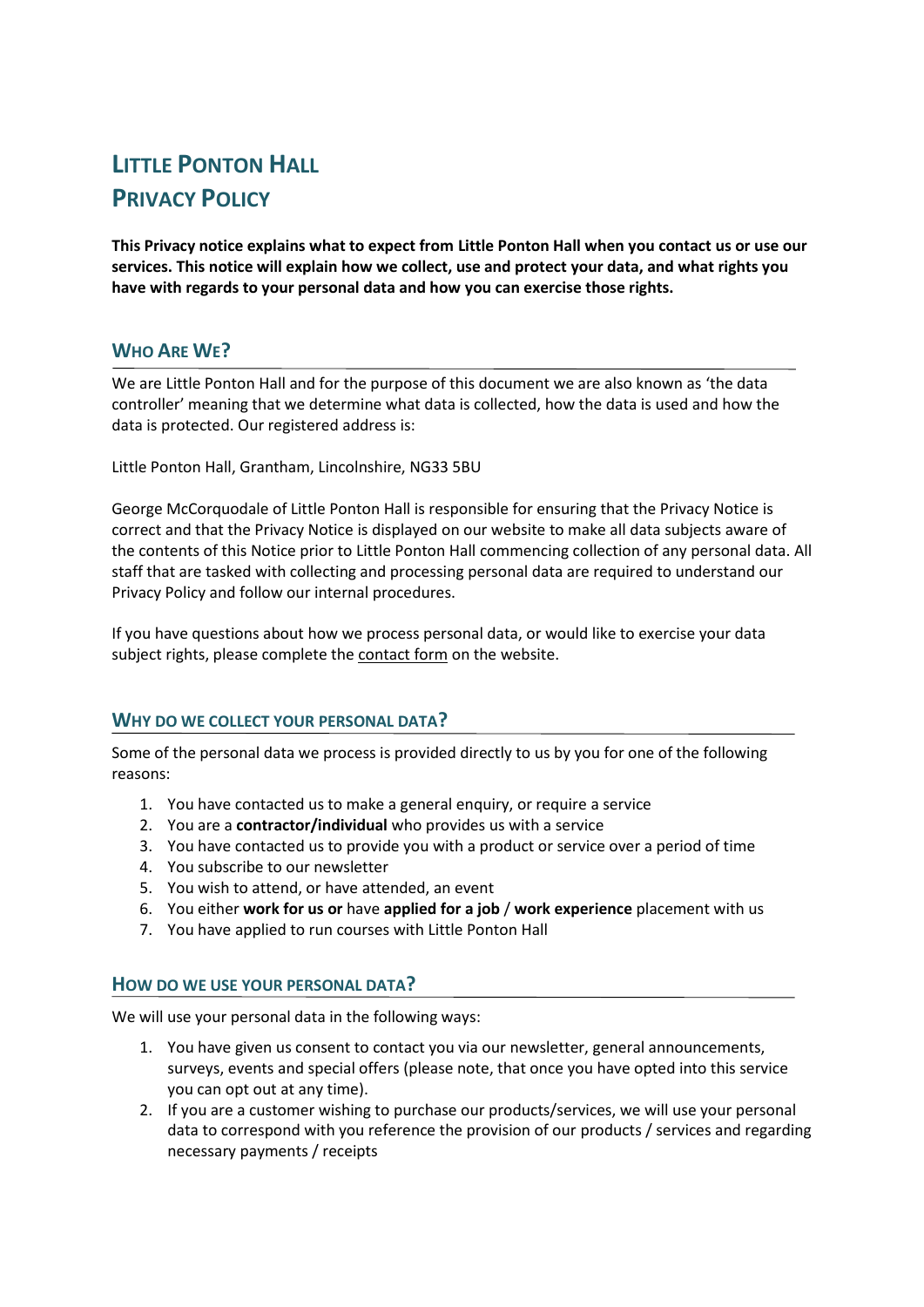# **LITTLE PONTON HALL PRIVACY POLICY**

**This Privacy notice explains what to expect from Little Ponton Hall when you contact us or use our services. This notice will explain how we collect, use and protect your data, and what rights you have with regards to your personal data and how you can exercise those rights.**

## **WHO ARE WE?**

We are Little Ponton Hall and for the purpose of this document we are also known as 'the data controller' meaning that we determine what data is collected, how the data is used and how the data is protected. Our registered address is:

Little Ponton Hall, Grantham, Lincolnshire, NG33 5BU

George McCorquodale of Little Ponton Hall is responsible for ensuring that the Privacy Notice is correct and that the Privacy Notice is displayed on our website to make all data subjects aware of the contents of this Notice prior to Little Ponton Hall commencing collection of any personal data. All staff that are tasked with collecting and processing personal data are required to understand our Privacy Policy and follow our internal procedures.

If you have questions about how we process personal data, or would like to exercise your data subject rights, please complete the [contact form](https://littlepontonhallgardens.org.uk/contact/) on the website.

#### **WHY DO WE COLLECT YOUR PERSONAL DATA?**

Some of the personal data we process is provided directly to us by you for one of the following reasons:

- 1. You have contacted us to make a general enquiry, or require a service
- 2. You are a **contractor/individual** who provides us with a service
- 3. You have contacted us to provide you with a product or service over a period of time
- 4. You subscribe to our newsletter
- 5. You wish to attend, or have attended, an event
- 6. You either **work for us or** have **applied for a job** / **work experience** placement with us
- 7. You have applied to run courses with Little Ponton Hall

#### **HOW DO WE USE YOUR PERSONAL DATA?**

We will use your personal data in the following ways:

- 1. You have given us consent to contact you via our newsletter, general announcements, surveys, events and special offers (please note, that once you have opted into this service you can opt out at any time).
- 2. If you are a customer wishing to purchase our products/services, we will use your personal data to correspond with you reference the provision of our products / services and regarding necessary payments / receipts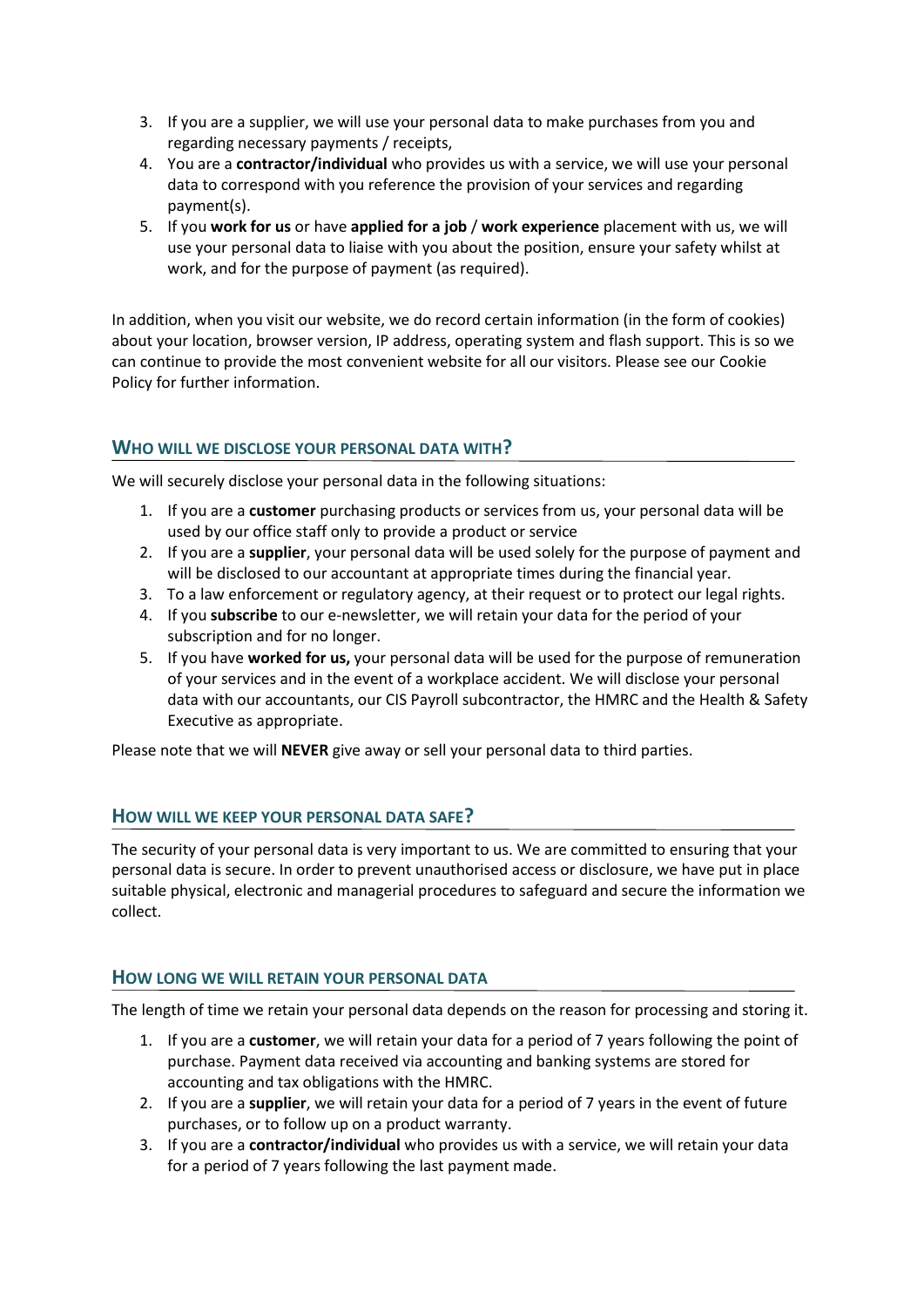- 3. If you are a supplier, we will use your personal data to make purchases from you and regarding necessary payments / receipts,
- 4. You are a **contractor/individual** who provides us with a service, we will use your personal data to correspond with you reference the provision of your services and regarding payment(s).
- 5. If you **work for us** or have **applied for a job** / **work experience** placement with us, we will use your personal data to liaise with you about the position, ensure your safety whilst at work, and for the purpose of payment (as required).

In addition, when you visit our website, we do record certain information (in the form of cookies) about your location, browser version, IP address, operating system and flash support. This is so we can continue to provide the most convenient website for all our visitors. Please see our Cookie Policy for further information.

## **WHO WILL WE DISCLOSE YOUR PERSONAL DATA WITH?**

We will securely disclose your personal data in the following situations:

- 1. If you are a **customer** purchasing products or services from us, your personal data will be used by our office staff only to provide a product or service
- 2. If you are a **supplier**, your personal data will be used solely for the purpose of payment and will be disclosed to our accountant at appropriate times during the financial year.
- 3. To a law enforcement or regulatory agency, at their request or to protect our legal rights.
- 4. If you **subscribe** to our e-newsletter, we will retain your data for the period of your subscription and for no longer.
- 5. If you have **worked for us,** your personal data will be used for the purpose of remuneration of your services and in the event of a workplace accident. We will disclose your personal data with our accountants, our CIS Payroll subcontractor, the HMRC and the Health & Safety Executive as appropriate.

Please note that we will **NEVER** give away or sell your personal data to third parties.

#### **HOW WILL WE KEEP YOUR PERSONAL DATA SAFE?**

The security of your personal data is very important to us. We are committed to ensuring that your personal data is secure. In order to prevent unauthorised access or disclosure, we have put in place suitable physical, electronic and managerial procedures to safeguard and secure the information we collect.

#### **HOW LONG WE WILL RETAIN YOUR PERSONAL DATA**

The length of time we retain your personal data depends on the reason for processing and storing it.

- 1. If you are a **customer**, we will retain your data for a period of 7 years following the point of purchase. Payment data received via accounting and banking systems are stored for accounting and tax obligations with the HMRC.
- 2. If you are a **supplier**, we will retain your data for a period of 7 years in the event of future purchases, or to follow up on a product warranty.
- 3. If you are a **contractor/individual** who provides us with a service, we will retain your data for a period of 7 years following the last payment made.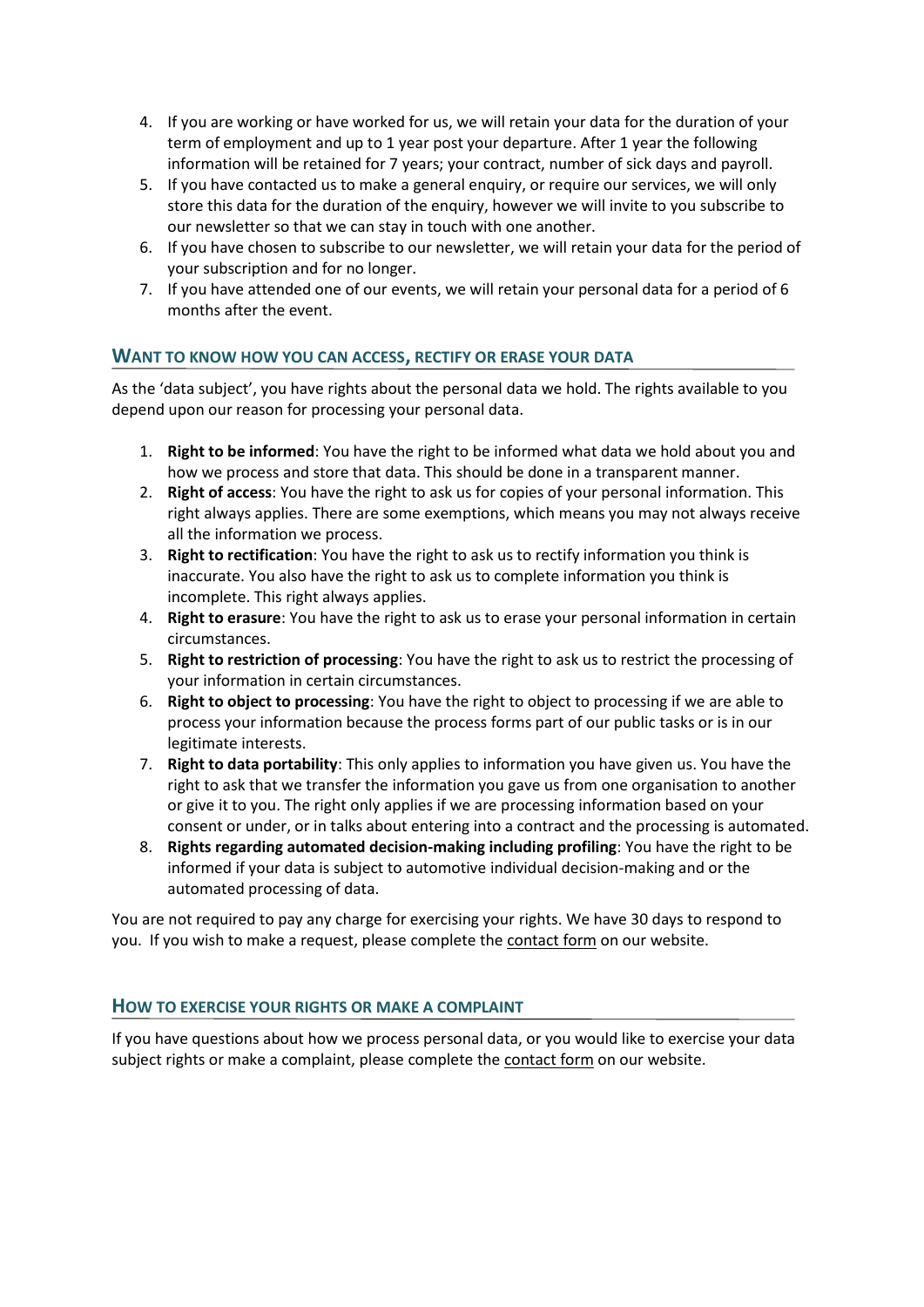- 4. If you are working or have worked for us, we will retain your data for the duration of your term of employment and up to 1 year post your departure. After 1 year the following information will be retained for 7 years; your contract, number of sick days and payroll.
- 5. If you have contacted us to make a general enquiry, or require our services, we will only store this data for the duration of the enquiry, however we will invite to you subscribe to our newsletter so that we can stay in touch with one another.
- 6. If you have chosen to subscribe to our newsletter, we will retain your data for the period of your subscription and for no longer.
- 7. If you have attended one of our events, we will retain your personal data for a period of 6 months after the event.

## **WANT TO KNOW HOW YOU CAN ACCESS, RECTIFY OR ERASE YOUR DATA**

As the 'data subject', you have rights about the personal data we hold. The rights available to you depend upon our reason for processing your personal data.

- 1. **Right to be informed**: You have the right to be informed what data we hold about you and how we process and store that data. This should be done in a transparent manner.
- 2. **Right of access**: You have the right to ask us for copies of your personal information. This right always applies. There are some exemptions, which means you may not always receive all the information we process.
- 3. **Right to rectification**: You have the right to ask us to rectify information you think is inaccurate. You also have the right to ask us to complete information you think is incomplete. This right always applies.
- 4. **Right to erasure**: You have the right to ask us to erase your personal information in certain circumstances.
- 5. **Right to restriction of processing**: You have the right to ask us to restrict the processing of your information in certain circumstances.
- 6. **Right to object to processing**: You have the right to object to processing if we are able to process your information because the process forms part of our public tasks or is in our legitimate interests.
- 7. **Right to data portability**: This only applies to information you have given us. You have the right to ask that we transfer the information you gave us from one organisation to another or give it to you. The right only applies if we are processing information based on your consent or under, or in talks about entering into a contract and the processing is automated.
- 8. **Rights regarding automated decision-making including profiling**: You have the right to be informed if your data is subject to automotive individual decision-making and or the automated processing of data.

You are not required to pay any charge for exercising your rights. We have 30 days to respond to you. If you wish to make a request, please complete th[e contact form](https://littlepontonhallgardens.org.uk/contact/) on our website.

#### **HOW TO EXERCISE YOUR RIGHTS OR MAKE A COMPLAINT**

If you have questions about how we process personal data, or you would like to exercise your data subject rights or make a complaint, please complete the [contact form](https://littlepontonhallgardens.org.uk/contact/) on our website.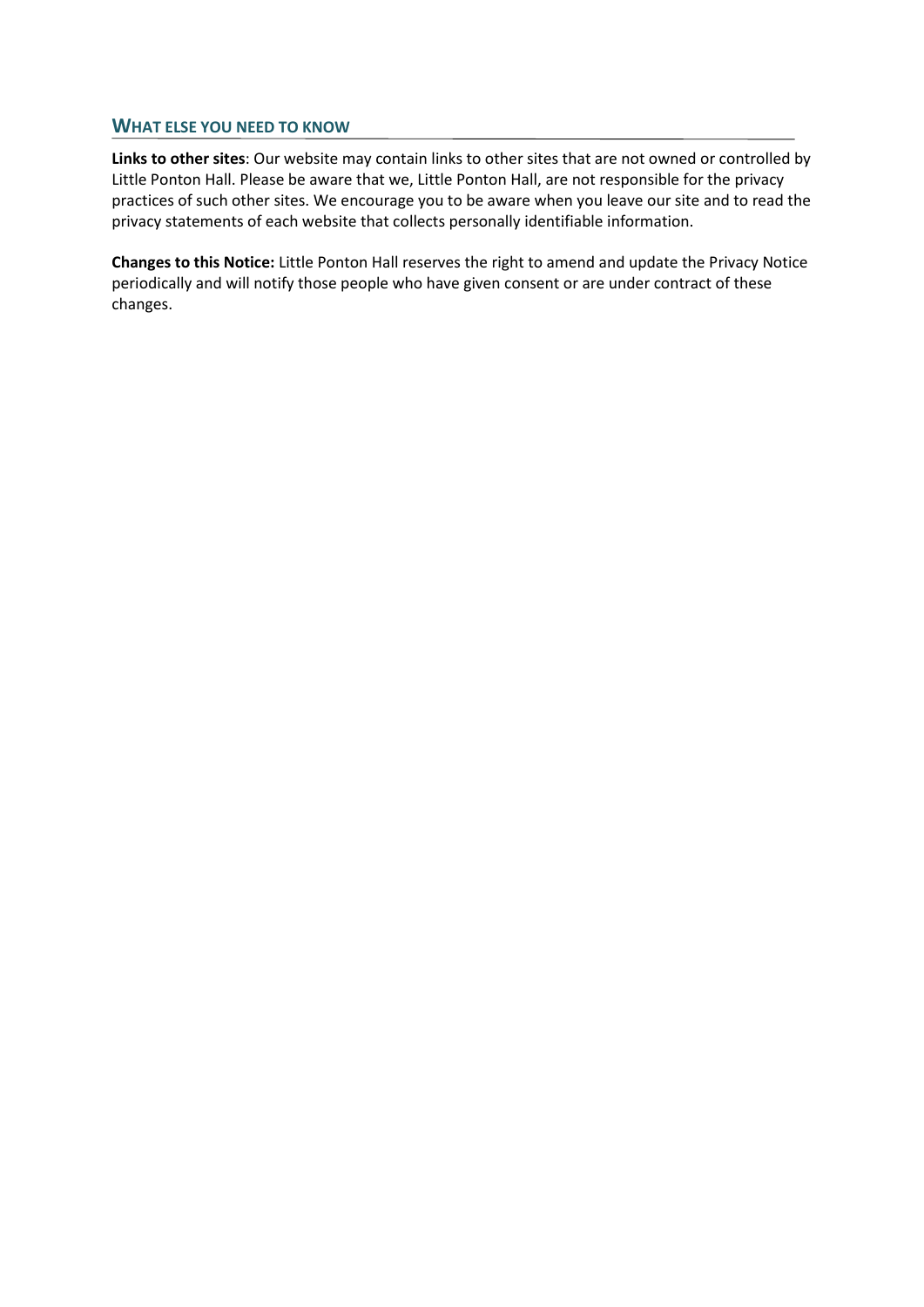#### **WHAT ELSE YOU NEED TO KNOW**

**Links to other sites**: Our website may contain links to other sites that are not owned or controlled by Little Ponton Hall. Please be aware that we, Little Ponton Hall, are not responsible for the privacy practices of such other sites. We encourage you to be aware when you leave our site and to read the privacy statements of each website that collects personally identifiable information.

**Changes to this Notice:** Little Ponton Hall reserves the right to amend and update the Privacy Notice periodically and will notify those people who have given consent or are under contract of these changes.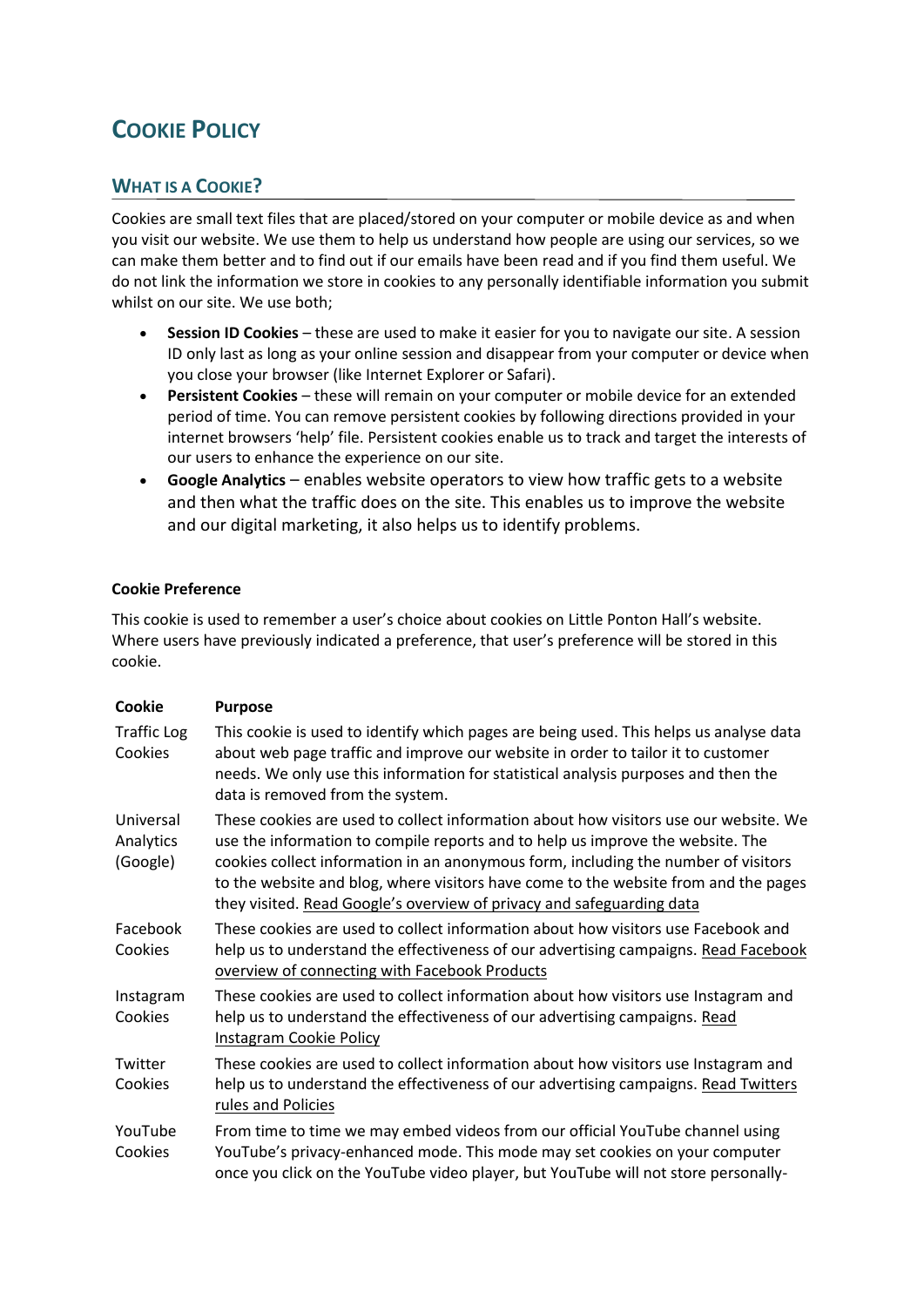# **COOKIE POLICY**

# **WHAT IS A COOKIE?**

Cookies are small text files that are placed/stored on your computer or mobile device as and when you visit our website. We use them to help us understand how people are using our services, so we can make them better and to find out if our emails have been read and if you find them useful. We do not link the information we store in cookies to any personally identifiable information you submit whilst on our site. We use both;

- **Session ID Cookies** these are used to make it easier for you to navigate our site. A session ID only last as long as your online session and disappear from your computer or device when you close your browser (like Internet Explorer or Safari).
- **Persistent Cookies** these will remain on your computer or mobile device for an extended period of time. You can remove persistent cookies by following directions provided in your internet browsers 'help' file. Persistent cookies enable us to track and target the interests of our users to enhance the experience on our site.
- **Google Analytics** enables website operators to view how traffic gets to a website and then what the traffic does on the site. This enables us to improve the website and our digital marketing, it also helps us to identify problems.

#### **Cookie Preference**

This cookie is used to remember a user's choice about cookies on Little Ponton Hall's website. Where users have previously indicated a preference, that user's preference will be stored in this cookie.

| Cookie                             | <b>Purpose</b>                                                                                                                                                                                                                                                                                                                                                                                                               |
|------------------------------------|------------------------------------------------------------------------------------------------------------------------------------------------------------------------------------------------------------------------------------------------------------------------------------------------------------------------------------------------------------------------------------------------------------------------------|
| <b>Traffic Log</b><br>Cookies      | This cookie is used to identify which pages are being used. This helps us analyse data<br>about web page traffic and improve our website in order to tailor it to customer<br>needs. We only use this information for statistical analysis purposes and then the<br>data is removed from the system.                                                                                                                         |
| Universal<br>Analytics<br>(Google) | These cookies are used to collect information about how visitors use our website. We<br>use the information to compile reports and to help us improve the website. The<br>cookies collect information in an anonymous form, including the number of visitors<br>to the website and blog, where visitors have come to the website from and the pages<br>they visited. Read Google's overview of privacy and safeguarding data |
| Facebook<br>Cookies                | These cookies are used to collect information about how visitors use Facebook and<br>help us to understand the effectiveness of our advertising campaigns. Read Facebook<br>overview of connecting with Facebook Products                                                                                                                                                                                                    |
| Instagram<br>Cookies               | These cookies are used to collect information about how visitors use Instagram and<br>help us to understand the effectiveness of our advertising campaigns. Read<br><b>Instagram Cookie Policy</b>                                                                                                                                                                                                                           |
| Twitter<br>Cookies                 | These cookies are used to collect information about how visitors use Instagram and<br>help us to understand the effectiveness of our advertising campaigns. Read Twitters<br>rules and Policies                                                                                                                                                                                                                              |
| YouTube<br>Cookies                 | From time to time we may embed videos from our official YouTube channel using<br>YouTube's privacy-enhanced mode. This mode may set cookies on your computer<br>once you click on the YouTube video player, but YouTube will not store personally-                                                                                                                                                                           |